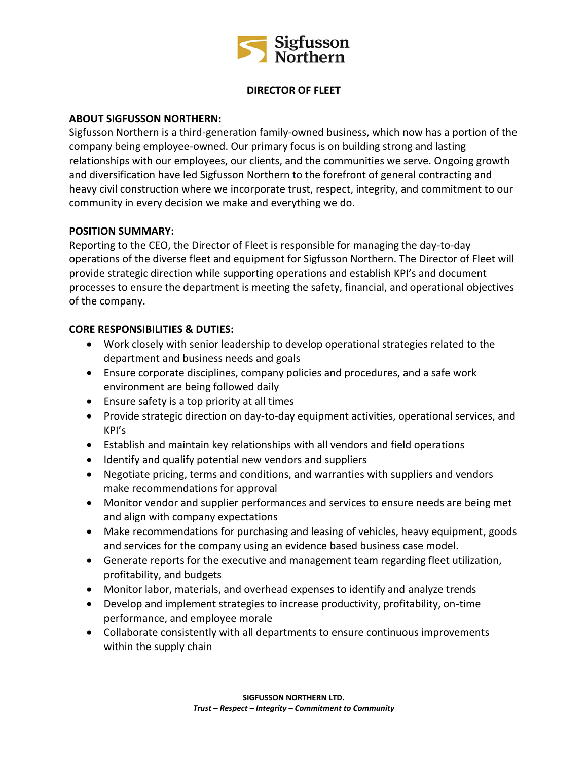

## **DIRECTOR OF FLEET**

### **ABOUT SIGFUSSON NORTHERN:**

Sigfusson Northern is a third-generation family-owned business, which now has a portion of the company being employee-owned. Our primary focus is on building strong and lasting relationships with our employees, our clients, and the communities we serve. Ongoing growth and diversification have led Sigfusson Northern to the forefront of general contracting and heavy civil construction where we incorporate trust, respect, integrity, and commitment to our community in every decision we make and everything we do.

### **POSITION SUMMARY:**

Reporting to the CEO, the Director of Fleet is responsible for managing the day-to-day operations of the diverse fleet and equipment for Sigfusson Northern. The Director of Fleet will provide strategic direction while supporting operations and establish KPI's and document processes to ensure the department is meeting the safety, financial, and operational objectives of the company.

### **CORE RESPONSIBILITIES & DUTIES:**

- Work closely with senior leadership to develop operational strategies related to the department and business needs and goals
- Ensure corporate disciplines, company policies and procedures, and a safe work environment are being followed daily
- Ensure safety is a top priority at all times
- Provide strategic direction on day-to-day equipment activities, operational services, and KPI's
- Establish and maintain key relationships with all vendors and field operations
- Identify and qualify potential new vendors and suppliers
- Negotiate pricing, terms and conditions, and warranties with suppliers and vendors make recommendations for approval
- Monitor vendor and supplier performances and services to ensure needs are being met and align with company expectations
- Make recommendations for purchasing and leasing of vehicles, heavy equipment, goods and services for the company using an evidence based business case model.
- Generate reports for the executive and management team regarding fleet utilization, profitability, and budgets
- Monitor labor, materials, and overhead expenses to identify and analyze trends
- Develop and implement strategies to increase productivity, profitability, on-time performance, and employee morale
- Collaborate consistently with all departments to ensure continuous improvements within the supply chain